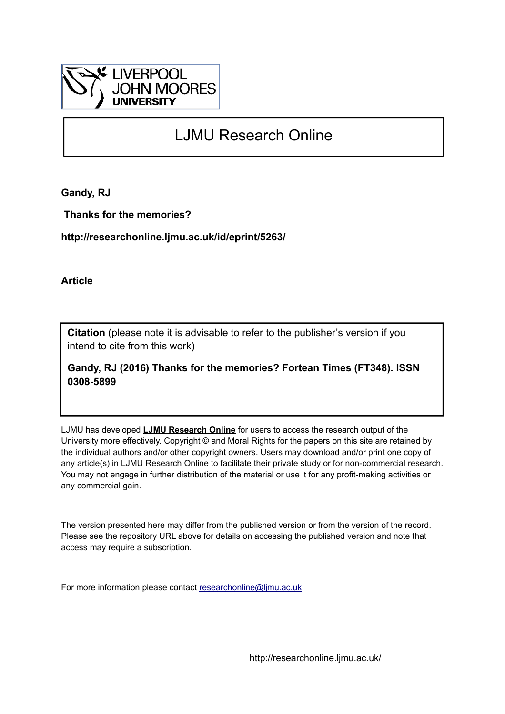

# LJMU Research Online

**Gandy, RJ**

 **Thanks for the memories?**

**http://researchonline.ljmu.ac.uk/id/eprint/5263/**

**Article**

**Citation** (please note it is advisable to refer to the publisher's version if you intend to cite from this work)

**Gandy, RJ (2016) Thanks for the memories? Fortean Times (FT348). ISSN 0308-5899** 

LJMU has developed **[LJMU Research Online](http://researchonline.ljmu.ac.uk/)** for users to access the research output of the University more effectively. Copyright © and Moral Rights for the papers on this site are retained by the individual authors and/or other copyright owners. Users may download and/or print one copy of any article(s) in LJMU Research Online to facilitate their private study or for non-commercial research. You may not engage in further distribution of the material or use it for any profit-making activities or any commercial gain.

The version presented here may differ from the published version or from the version of the record. Please see the repository URL above for details on accessing the published version and note that access may require a subscription.

For more information please contact [researchonline@ljmu.ac.uk](mailto:researchonline@ljmu.ac.uk)

http://researchonline.ljmu.ac.uk/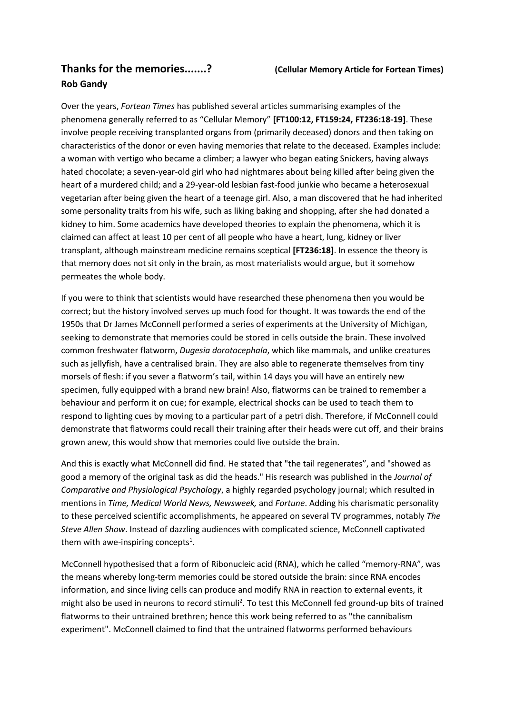## **Thanks for the memories.......? (Cellular Memory Article for Fortean Times) Rob Gandy**

Over the years, *Fortean Times* has published several articles summarising examples of the phenomena generally referred to as "Cellular Memory" **[FT100:12, FT159:24, FT236:18-19]**. These involve people receiving transplanted organs from (primarily deceased) donors and then taking on characteristics of the donor or even having memories that relate to the deceased. Examples include: a woman with vertigo who became a climber; a lawyer who began eating Snickers, having always hated chocolate; a seven-year-old girl who had nightmares about being killed after being given the heart of a murdered child; and a 29-year-old lesbian fast-food junkie who became a heterosexual vegetarian after being given the heart of a teenage girl. Also, a man discovered that he had inherited some personality traits from his wife, such as liking baking and shopping, after she had donated a kidney to him. Some academics have developed theories to explain the phenomena, which it is claimed can affect at least 10 per cent of all people who have a heart, lung, kidney or liver transplant, although mainstream medicine remains sceptical **[FT236:18]**. In essence the theory is that memory does not sit only in the brain, as most materialists would argue, but it somehow permeates the whole body.

If you were to think that scientists would have researched these phenomena then you would be correct; but the history involved serves up much food for thought. It was towards the end of the 1950s that Dr James McConnell performed a series of experiments at the University of Michigan, seeking to demonstrate that memories could be stored in cells outside the brain. These involved common freshwater flatworm, *Dugesia dorotocephala*, which like mammals, and unlike creatures such as jellyfish, have a centralised brain. They are also able to regenerate themselves from tiny morsels of flesh: if you sever a flatworm's tail, within 14 days you will have an entirely new specimen, fully equipped with a brand new brain! Also, flatworms can be trained to remember a behaviour and perform it on cue; for example, electrical shocks can be used to teach them to respond to lighting cues by moving to a particular part of a petri dish. Therefore, if McConnell could demonstrate that flatworms could recall their training after their heads were cut off, and their brains grown anew, this would show that memories could live outside the brain.

And this is exactly what McConnell did find. He stated that "the tail regenerates", and "showed as good a memory of the original task as did the heads." His research was published in the *Journal of Comparative and Physiological Psychology*, a highly regarded psychology journal; which resulted in mentions in *Time, Medical World News, Newsweek,* and *Fortune*. Adding his charismatic personality to these perceived scientific accomplishments, he appeared on several TV programmes, notably *The Steve Allen Show*. Instead of dazzling audiences with complicated science, McConnell captivated them with awe-inspiring concepts<sup>1</sup>.

McConnell hypothesised that a form of Ribonucleic acid (RNA), which he called "memory-RNA", was the means whereby long-term memories could be stored outside the brain: since RNA encodes information, and since living cells can produce and modify RNA in reaction to external events, it might also be used in neurons to record stimuli<sup>2</sup>. To test this McConnell fed ground-up bits of trained flatworms to their untrained brethren; hence this work being referred to as "the cannibalism experiment". McConnell claimed to find that the untrained flatworms performed behaviours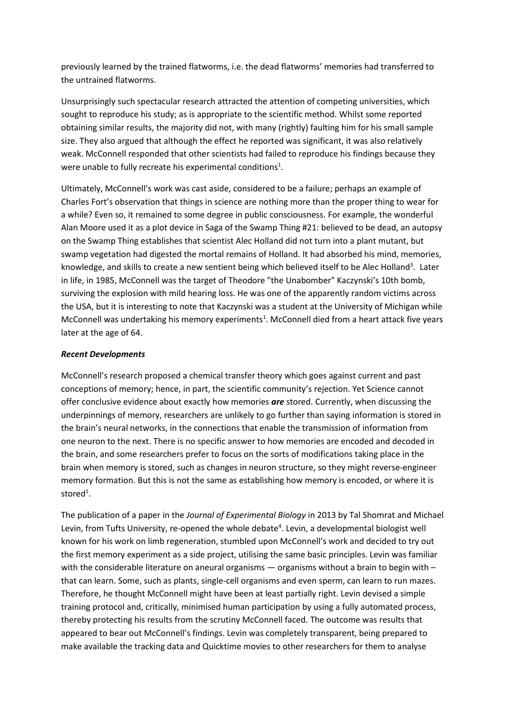previously learned by the trained flatworms, i.e. the dead flatworms' memories had transferred to the untrained flatworms.

Unsurprisingly such spectacular research attracted the attention of competing universities, which sought to reproduce his study; as is appropriate to the scientific method. Whilst some reported obtaining similar results, the majority did not, with many (rightly) faulting him for his small sample size. They also argued that although the effect he reported was significant, it was also relatively weak. McConnell responded that other scientists had failed to reproduce his findings because they were unable to fully recreate his experimental conditions<sup>1</sup>.

Ultimately, McConnell's work was cast aside, considered to be a failure; perhaps an example of Charles Fort's observation that things in science are nothing more than the proper thing to wear for a while? Even so, it remained to some degree in public consciousness. For example, the wonderful Alan Moore used it as a plot device in Saga of the Swamp Thing #21: believed to be dead, an autopsy on the Swamp Thing establishes that scientist Alec Holland did not turn into a plant mutant, but swamp vegetation had digested the mortal remains of Holland. It had absorbed his mind, memories, knowledge, and skills to create a new sentient being which believed itself to be Alec Holland<sup>3</sup>. Later in life, in 1985, McConnell was the target of Theodore "the Unabomber" Kaczynski's 10th bomb, surviving the explosion with mild hearing loss. He was one of the apparently random victims across the USA, but it is interesting to note that Kaczynski was a student at the University of Michigan while McConnell was undertaking his memory experiments<sup>1</sup>. McConnell died from a heart attack five years later at the age of 64.

#### *Recent Developments*

McConnell's research proposed a chemical transfer theory which goes against current and past conceptions of memory; hence, in part, the scientific community's rejection. Yet Science cannot offer conclusive evidence about exactly how memories *are* stored. Currently, when discussing the underpinnings of memory, researchers are unlikely to go further than saying information is stored in the brain's neural networks, in the connections that enable the transmission of information from one neuron to the next. There is no specific answer to how memories are encoded and decoded in the brain, and some researchers prefer to focus on the sorts of modifications taking place in the brain when memory is stored, such as changes in neuron structure, so they might reverse-engineer memory formation. But this is not the same as establishing how memory is encoded, or where it is stored<sup>1</sup>.

The publication of a paper in the *Journal of Experimental Biology* in 2013 by Tal Shomrat and Michael Levin, from Tufts University, re-opened the whole debate<sup>4</sup>. Levin, a developmental biologist well known for his work on limb regeneration, stumbled upon McConnell's work and decided to try out the first memory experiment as a side project, utilising the same basic principles. Levin was familiar with the considerable literature on aneural organisms — organisms without a brain to begin with – that can learn. Some, such as plants, single-cell organisms and even sperm, can learn to run mazes. Therefore, he thought McConnell might have been at least partially right. Levin devised a simple training protocol and, critically, minimised human participation by using a fully automated process, thereby protecting his results from the scrutiny McConnell faced. The outcome was results that appeared to bear out McConnell's findings. Levin was completely transparent, being prepared to make available the tracking data and Quicktime movies to other researchers for them to analyse